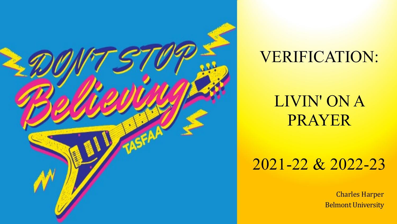

### VERIFICATION:

### LIVIN' ON A PRAYER

### 2021-22 & 2022-23

Charles Harper Belmont University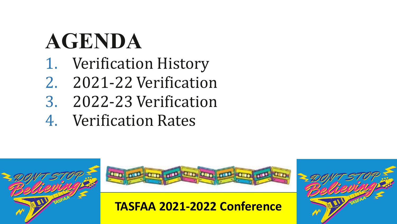# **AGENDA**

- 1. Verification History
- 2. 2021-22 Verification
- 3. 2022-23 Verification
- 4. Verification Rates





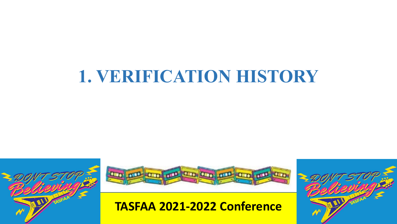## **1. VERIFICATION HISTORY**





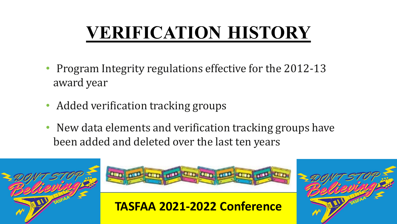## **VERIFICATION HISTORY**

- Program Integrity regulations effective for the 2012-13 award year
- Added verification tracking groups
- New data elements and verification tracking groups have been added and deleted over the last ten years





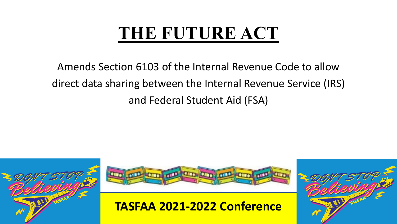## **THE FUTURE ACT**

Amends Section 6103 of the Internal Revenue Code to allow direct data sharing between the Internal Revenue Service (IRS) and Federal Student Aid (FSA)





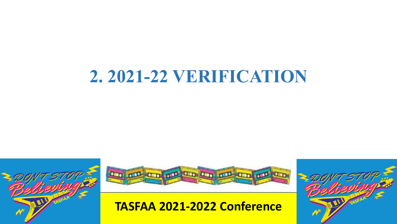## **2. 2021-22 VERIFICATION**





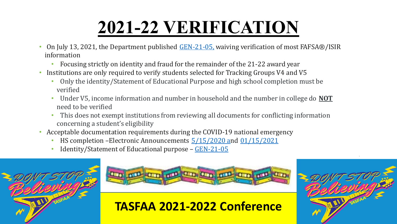- On July 13, 2021, the Department published [GEN-21-05,](https://fsapartners.ed.gov/knowledge-center/library/dear-colleague-letters/2021-07-13/changes-2021-2022-verification-requirements) waiving verification of most FAFSA®/ISIR information
	- Focusing strictly on identity and fraud for the remainder of the 21-22 award year
- Institutions are only required to verify students selected for Tracking Groups V4 and V5
	- Only the identity/Statement of Educational Purpose and high school completion must be verified
	- Under V5, income information and number in household and the number in college do **NOT** need to be verified
	- This does not exempt institutions from reviewing all documents for conflicting information concerning a student's eligibility
- Acceptable documentation requirements during the COVID-19 national emergency
	- HS completion –Electronic Announcements [5/15/2020](https://fsapartners.ed.gov/knowledge-center/library/electronic-announcements/2020-05-15/updated-guidance-interruptions-study-related-coronavirus-covid-19-updated-june-16-2020) and [01/15/2021](https://fsapartners.ed.gov/knowledge-center/library/electronic-announcements/2021-01-15/publication-federal-register-updated-waivers-and-modifications-statutory-and-regulatory-provisions-under-heroes-act-ea-id-ope-announcements-21-05-updated-feb-26-2021)
	- Identity/Statement of Educational purpose [GEN-21-05](https://fsapartners.ed.gov/knowledge-center/library/dear-colleague-letters/2021-07-13/changes-2021-2022-verification-requirements)





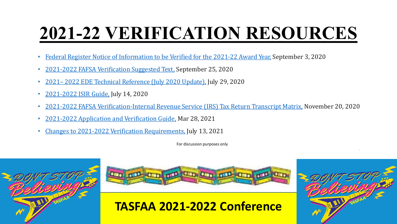## **2021-22 VERIFICATION RESOURCES**

- Federal Register Notice of [Information](https://fsapartners.ed.gov/sites/default/files/attachments/2020-09/FR090320.pdf) to be Verified for the 2021-22 Award Year, September 3, 2020
- 2021-2022 FAFSA [Verification](https://fsapartners.ed.gov/knowledge-center/library/electronic-announcements/2020-09-25/2021-2022-verification-suggested-text-package) Suggested Text, September 25, 2020
- 2021– 2022 EDE Technical Reference (July [2020 Update\),](https://fsapartners.ed.gov/knowledge-center/library/system-technical-references/2020-07-29/2021-2022-ede-technical-reference-july-2020-update) July 29, 2020
- [2021-2022](https://fsapartners.ed.gov/knowledge-center/library/handbooks-manuals-or-guides/2020-07-14/2021-2022-isir-guide) ISIR Guide, July 14, 2020
- 2021-2022 FAFSA [Verification-Internal](https://fsapartners.ed.gov/knowledge-center/library/electronic-announcements/2020-11-20/2021-2022-fafsa-verification-internal-revenue-service-irs-tax-return-transcript-matrix) Revenue Service (IRS) Tax Return Transcript Matrix, November 20, 2020
- 2021-2022 [Application](https://fsapartners.ed.gov/sites/default/files/attachments/2021-02/2122FSAHbkAVGMaster.pdf) and Verification Guide, Mar 28, 2021
- Changes to 2021-2022 Verification [Requirements,](https://fsapartners.ed.gov/knowledge-center/library/dear-colleague-letters/2021-07-13/changes-2021-2022-verification-requirements) July 13, 2021

For discussion purposes only







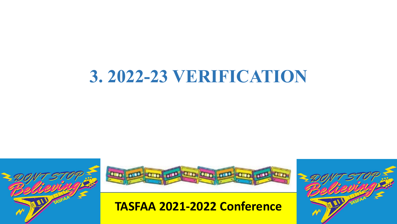## **3. 2022-23 VERIFICATION**





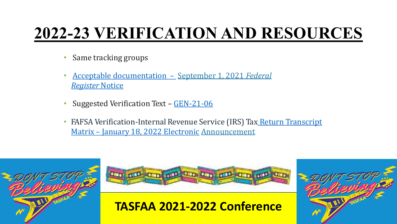### **2022-23 VERIFICATION AND RESOURCES**

- Same tracking groups
- Acceptable [documentation](https://www.federalregister.gov/documents/2021/09/01/2021-18864/free-application-for-federal-student-aid-fafsa-information-to-be-verified-for-the-2022-2023-award) September 1, 2021 *Federal [Register](https://www.federalregister.gov/documents/2021/09/01/2021-18864/free-application-for-federal-student-aid-fafsa-information-to-be-verified-for-the-2022-2023-award)* Notice
- Suggested Verification Text [GEN-21-06](https://fsapartners.ed.gov/knowledge-center/library/dear-colleague-letters/2021-09-01/2022-2023-award-year-fafsar-information-be-verified-and-acceptable-documentation)
- FAFSA [Verification-Internal](https://fsapartners.ed.gov/knowledge-center/library/electronic-announcements/2022-01-18/2022-2023-fafsa-verification-internal-revenue-service-irs-tax-return-transcript-matrix) Revenue Service (IRS) Tax Return Transcript Matrix – January 18, 2022 Electronic Announcement





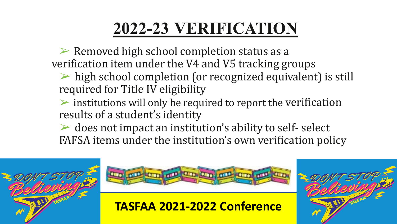➢ Removed high school completion status as a verification item under the V4 and V5 tracking groups

- $\triangleright$  high school completion (or recognized equivalent) is still required for Title IV eligibility
- $\triangleright$  institutions will only be required to report the verification results of a student's identity
- $\triangleright$  does not impact an institution's ability to self- select FAFSA items under the institution's own verification policy





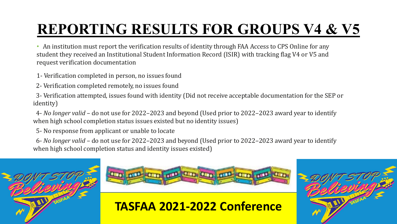### **REPORTING RESULTS FOR GROUPS V4 & V5**

• An institution must report the verification results of identity through FAA Access to CPS Online for any student they received an Institutional Student Information Record (ISIR) with tracking flag V4 or V5 and request verification documentation

- 1- Verification completed in person, no issues found
- 2- Verification completed remotely, no issues found

3- Verification attempted, issues found with identity (Did not receive acceptable documentation for the SEP or identity)

4- *No longer valid* – do not use for 2022–2023 and beyond (Used prior to 2022–2023 award year to identify when high school completion status issues existed but no identity issues)

5- No response from applicant or unable to locate

6- *No longer valid* – do not use for 2022–2023 and beyond (Used prior to 2022–2023 award year to identify when high school completion status and identity issues existed)





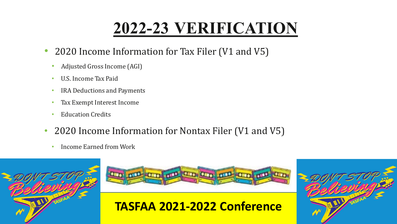- 2020 Income Information for Tax Filer (V1 and V5)
	- Adjusted Gross Income (AGI)
	- U.S. Income Tax Paid
	- IRA Deductions and Payments
	- Tax Exempt Interest Income
	- Education Credits
- 2020 Income Information for Nontax Filer (V1 and V5)
	- Income Earned from Work



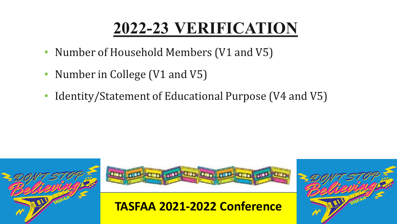- Number of Household Members (V1 and V5)
- Number in College (V1 and V5)
- Identity/Statement of Educational Purpose (V4 and V5)





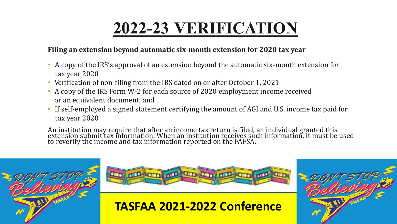#### **Filing an extension beyond automatic six-month extension for 2020 tax year**

- A copy of the IRS's approval of an extension beyond the automatic six-month extension for tax year 2020
- Verification of non-filing from the IRS dated on or after October 1, 2021
- A copy of the IRS Form W-2 for each source of 2020 employment income received or an equivalent document; and
- If self-employed a signed statement certifying the amount of AGI and U.S. income tax paid for tax year 2020

An institution may require that after an income tax return is filed, an individual granted this<br>extension submit toy information. When an institution receives such information, it must be extension submit tax information. When an institution receives such information, it must be used<br>to reverify the income and tay information reported on the EAESA to reverify the income and tax information reported on the FAFSA.





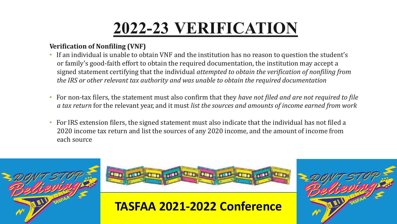#### **Verification of Nonfiling (VNF)**

- If an individual is unable to obtain VNF and the institution has no reason to question the student's or family's good-faith effort to obtain the required documentation, the institution may accept a signed statement certifying that the individual *attempted to obtain the verification of nonfiling from the IRS or other relevant tax authority and was unable to obtain the required documentation*
- For non-tax filers, the statement must also confirm that they *have not filed and are not required to file a tax return* for the relevant year, and it must *list the sources and amounts of income earned from work*
- For IRS extension filers, the signed statement must also indicate that the individual has not filed a 2020 income tax return and list the sources of any 2020 income, and the amount of income from each source





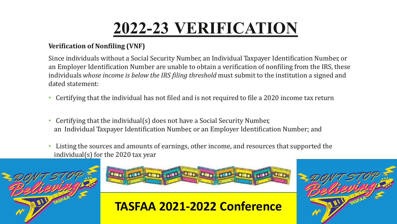#### **Verification of Nonfiling (VNF)**

Since individuals without a Social Security Number, an Individual Taxpayer Identification Number, or an Employer Identification Number are unable to obtain a verification of nonfiling from the IRS, these individuals *whose income is below the IRS filing threshold* must submit to the institution a signed and dated statement:

- Certifying that the individual has not filed and is not required to file a 2020 income tax return
- Certifying that the individual(s) does not have a Social Security Number, an Individual Taxpayer Identification Number, or an Employer Identification Number; and
- Listing the sources and amounts of earnings, other income, and resources that supported the individual(s) for the 2020 tax year





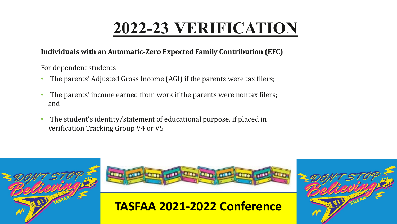#### **Individuals with an Automatic-Zero Expected Family Contribution (EFC)**

#### For dependent students –

- The parents' Adjusted Gross Income (AGI) if the parents were tax filers;
- The parents' income earned from work if the parents were nontax filers; and
- The student's identity/statement of educational purpose, if placed in Verification Tracking Group V4 or V5





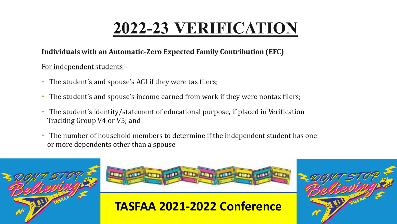#### **Individuals with an Automatic-Zero Expected Family Contribution (EFC)**

#### For independent students –

- The student's and spouse's AGI if they were tax filers;
- The student's and spouse's income earned from work if they were nontax filers;
- The student's identity/statement of educational purpose, if placed in Verification Tracking Group V4 or V5; and
- The number of household members to determine if the independent student has one or more dependents other than a spouse





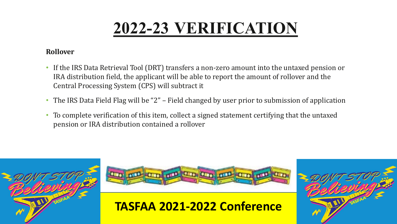#### **Rollover**

- If the IRS Data Retrieval Tool (DRT) transfers a non-zero amount into the untaxed pension or IRA distribution field, the applicant will be able to report the amount of rollover and the Central Processing System (CPS) will subtract it
- The IRS Data Field Flag will be "2" Field changed by user prior to submission of application
- To complete verification of this item, collect a signed statement certifying that the untaxed pension or IRA distribution contained a rollover





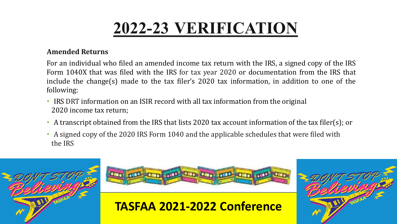#### **Amended Returns**

For an individual who filed an amended income tax return with the IRS, a signed copy of the IRS Form 1040X that was filed with the IRS for tax year 2020 or documentation from the IRS that include the change(s) made to the tax filer's 2020 tax information, in addition to one of the following:

- IRS DRT information on an ISIR record with all tax information from the original 2020 income tax return;
- A transcript obtained from the IRS that lists 2020 tax account information of the tax filer(s); or
- A signed copy of the 2020 IRS Form 1040 and the applicable schedules that were filed with the IRS





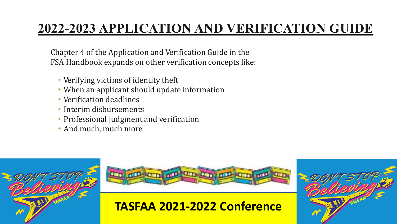### **2022-2023 APPLICATION AND VERIFICATION GUIDE**

Chapter 4 of the Application and Verification Guide in the FSA Handbook expands on other verification concepts like:

- Verifying victims of identity theft
- When an applicant should update information
- Verification deadlines
- Interim disbursements
- Professional judgment and verification
- And much, much more





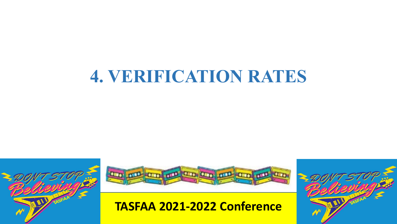



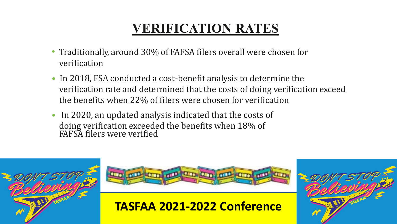- Traditionally, around 30% of FAFSA filers overall were chosen for verification
- In 2018, FSA conducted a cost-benefit analysis to determine the verification rate and determined that the costs of doing verification exceed the benefits when 22% of filers were chosen for verification
- In 2020, an updated analysis indicated that the costs of doing verification exceeded the benefits when 18% of FAFSA filers were verified





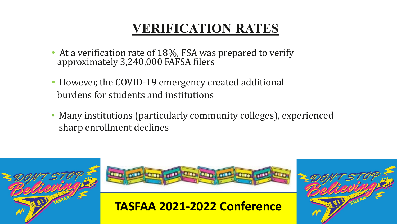- At a verification rate of 18%, FSA was prepared to verify approximately 3,240,000 FAFSA filers
- However, the COVID-19 emergency created additional burdens for students and institutions
- Many institutions (particularly community colleges), experienced sharp enrollment declines





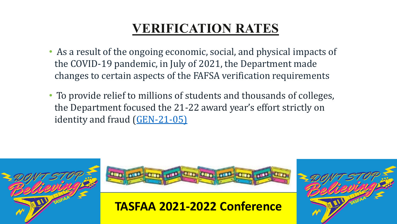- As a result of the ongoing economic, social, and physical impacts of the COVID-19 pandemic, in July of 2021, the Department made changes to certain aspects of the FAFSA verification requirements
- To provide relief to millions of students and thousands of colleges, the Department focused the 21-22 award year's effort strictly on identity and fraud ([GEN-21-05\)](https://fsapartners.ed.gov/knowledge-center/library/dear-colleague-letters/2021-07-13/changes-2021-2022-verification-requirements)





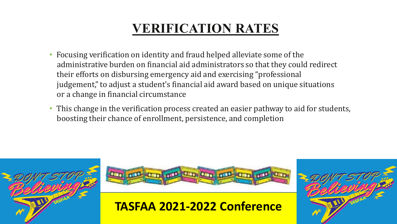- Focusing verification on identity and fraud helped alleviate some of the administrative burden on financial aid administrators so that they could redirect their efforts on disbursing emergency aid and exercising "professional judgement, "to adjust a student's financial aid award based on unique situations or a change in financial circumstance
- This change in the verification process created an easier pathway to aid for students, boosting their chance of enrollment, persistence, and completion





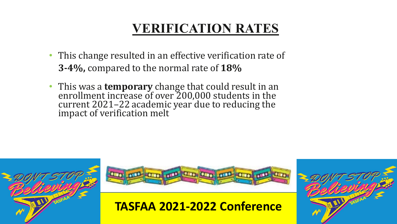- This change resulted in an effective verification rate of **3-4%,** compared to the normal rate of **18%**
- This was a **temporary** change that could result in an enrollment increase of over 200,000 students in the current 2021–22 academic year due to reducing the impact of verification melt





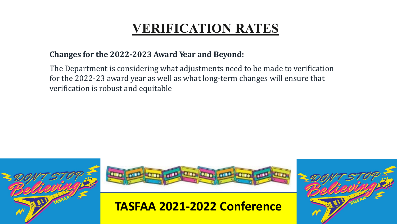#### **Changes for the 2022-2023 Award Year and Beyond:**

The Department is considering what adjustments need to be made to verification for the 2022-23 award year as well as what long-term changes will ensure that verification is robust and equitable